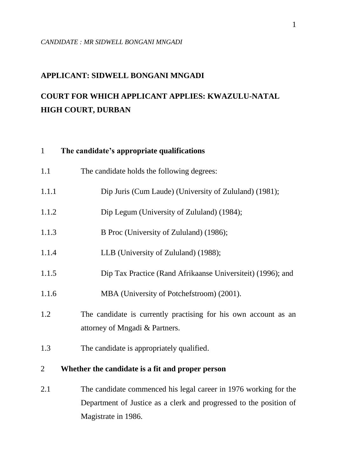## **APPLICANT: SIDWELL BONGANI MNGADI**

# **COURT FOR WHICH APPLICANT APPLIES: KWAZULU-NATAL HIGH COURT, DURBAN**

## 1 **The candidate's appropriate qualifications**

| 1.1            | The candidate holds the following degrees:                                                        |
|----------------|---------------------------------------------------------------------------------------------------|
| 1.1.1          | Dip Juris (Cum Laude) (University of Zululand) (1981);                                            |
| 1.1.2          | Dip Legum (University of Zululand) (1984);                                                        |
| 1.1.3          | B Proc (University of Zululand) (1986);                                                           |
| 1.1.4          | LLB (University of Zululand) (1988);                                                              |
| 1.1.5          | Dip Tax Practice (Rand Afrikaanse Universiteit) (1996); and                                       |
| 1.1.6          | MBA (University of Potchefstroom) (2001).                                                         |
| 1.2            | The candidate is currently practising for his own account as an<br>attorney of Mngadi & Partners. |
| 1.3            | The candidate is appropriately qualified.                                                         |
| $\overline{2}$ | Whether the candidate is a fit and proper person                                                  |
| 2.1            | The candidate commenced his legal career in 1976 working for the                                  |

Department of Justice as a clerk and progressed to the position of Magistrate in 1986.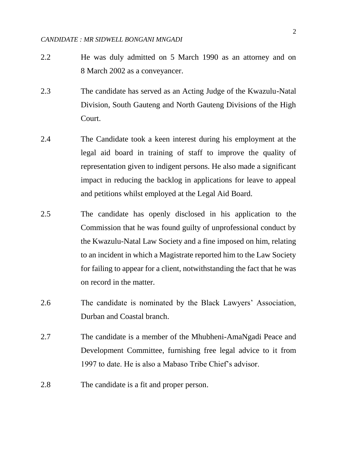- 2.2 He was duly admitted on 5 March 1990 as an attorney and on 8 March 2002 as a conveyancer.
- 2.3 The candidate has served as an Acting Judge of the Kwazulu-Natal Division, South Gauteng and North Gauteng Divisions of the High Court.
- 2.4 The Candidate took a keen interest during his employment at the legal aid board in training of staff to improve the quality of representation given to indigent persons. He also made a significant impact in reducing the backlog in applications for leave to appeal and petitions whilst employed at the Legal Aid Board.
- 2.5 The candidate has openly disclosed in his application to the Commission that he was found guilty of unprofessional conduct by the Kwazulu-Natal Law Society and a fine imposed on him, relating to an incident in which a Magistrate reported him to the Law Society for failing to appear for a client, notwithstanding the fact that he was on record in the matter.
- 2.6 The candidate is nominated by the Black Lawyers' Association, Durban and Coastal branch.
- 2.7 The candidate is a member of the Mhubheni-AmaNgadi Peace and Development Committee, furnishing free legal advice to it from 1997 to date. He is also a Mabaso Tribe Chief's advisor.
- 2.8 The candidate is a fit and proper person.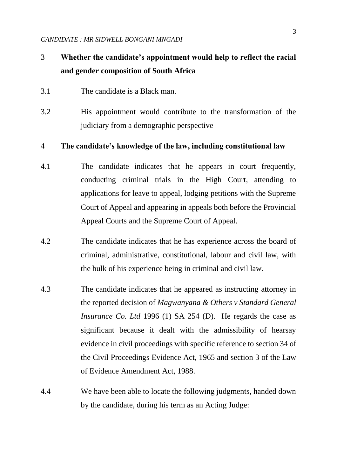# 3 **Whether the candidate's appointment would help to reflect the racial and gender composition of South Africa**

- 3.1 The candidate is a Black man.
- 3.2 His appointment would contribute to the transformation of the judiciary from a demographic perspective

#### 4 **The candidate's knowledge of the law, including constitutional law**

- 4.1 The candidate indicates that he appears in court frequently, conducting criminal trials in the High Court, attending to applications for leave to appeal, lodging petitions with the Supreme Court of Appeal and appearing in appeals both before the Provincial Appeal Courts and the Supreme Court of Appeal.
- 4.2 The candidate indicates that he has experience across the board of criminal, administrative, constitutional, labour and civil law, with the bulk of his experience being in criminal and civil law.
- 4.3 The candidate indicates that he appeared as instructing attorney in the reported decision of *Magwanyana & Others v Standard General Insurance Co. Ltd* 1996 (1) SA 254 (D). He regards the case as significant because it dealt with the admissibility of hearsay evidence in civil proceedings with specific reference to section 34 of the Civil Proceedings Evidence Act, 1965 and section 3 of the Law of Evidence Amendment Act, 1988.
- 4.4 We have been able to locate the following judgments, handed down by the candidate, during his term as an Acting Judge: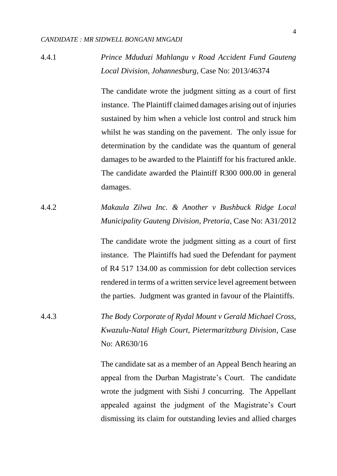# 4.4.1 *Prince Mduduzi Mahlangu v Road Accident Fund Gauteng Local Division, Johannesburg,* Case No: 2013/46374

The candidate wrote the judgment sitting as a court of first instance. The Plaintiff claimed damages arising out of injuries sustained by him when a vehicle lost control and struck him whilst he was standing on the pavement. The only issue for determination by the candidate was the quantum of general damages to be awarded to the Plaintiff for his fractured ankle. The candidate awarded the Plaintiff R300 000.00 in general damages.

4.4.2 *Makaula Zilwa Inc. & Another v Bushbuck Ridge Local Municipality Gauteng Division, Pretoria*, Case No: A31/2012

> The candidate wrote the judgment sitting as a court of first instance. The Plaintiffs had sued the Defendant for payment of R4 517 134.00 as commission for debt collection services rendered in terms of a written service level agreement between the parties. Judgment was granted in favour of the Plaintiffs.

4.4.3 *The Body Corporate of Rydal Mount v Gerald Michael Cross, Kwazulu-Natal High Court, Pietermaritzburg Division*, Case No: AR630/16

> The candidate sat as a member of an Appeal Bench hearing an appeal from the Durban Magistrate's Court. The candidate wrote the judgment with Sishi J concurring. The Appellant appealed against the judgment of the Magistrate's Court dismissing its claim for outstanding levies and allied charges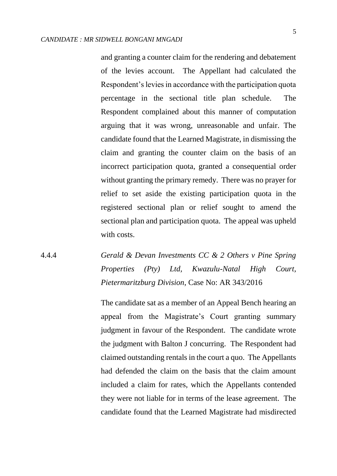and granting a counter claim for the rendering and debatement of the levies account. The Appellant had calculated the Respondent's levies in accordance with the participation quota percentage in the sectional title plan schedule. The Respondent complained about this manner of computation arguing that it was wrong, unreasonable and unfair. The candidate found that the Learned Magistrate, in dismissing the claim and granting the counter claim on the basis of an incorrect participation quota, granted a consequential order without granting the primary remedy. There was no prayer for relief to set aside the existing participation quota in the registered sectional plan or relief sought to amend the sectional plan and participation quota. The appeal was upheld with costs.

4.4.4 *Gerald & Devan Investments CC & 2 Others v Pine Spring Properties (Pty) Ltd, Kwazulu-Natal High Court, Pietermaritzburg Division*, Case No: AR 343/2016

> The candidate sat as a member of an Appeal Bench hearing an appeal from the Magistrate's Court granting summary judgment in favour of the Respondent. The candidate wrote the judgment with Balton J concurring. The Respondent had claimed outstanding rentals in the court a quo. The Appellants had defended the claim on the basis that the claim amount included a claim for rates, which the Appellants contended they were not liable for in terms of the lease agreement. The candidate found that the Learned Magistrate had misdirected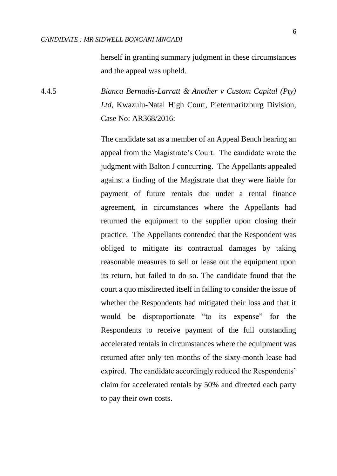herself in granting summary judgment in these circumstances and the appeal was upheld.

4.4.5 *Bianca Bernadis-Larratt & Another v Custom Capital (Pty) Ltd*, Kwazulu-Natal High Court, Pietermaritzburg Division, Case No: AR368/2016:

> The candidate sat as a member of an Appeal Bench hearing an appeal from the Magistrate's Court. The candidate wrote the judgment with Balton J concurring. The Appellants appealed against a finding of the Magistrate that they were liable for payment of future rentals due under a rental finance agreement, in circumstances where the Appellants had returned the equipment to the supplier upon closing their practice. The Appellants contended that the Respondent was obliged to mitigate its contractual damages by taking reasonable measures to sell or lease out the equipment upon its return, but failed to do so. The candidate found that the court a quo misdirected itself in failing to consider the issue of whether the Respondents had mitigated their loss and that it would be disproportionate "to its expense" for the Respondents to receive payment of the full outstanding accelerated rentals in circumstances where the equipment was returned after only ten months of the sixty-month lease had expired. The candidate accordingly reduced the Respondents' claim for accelerated rentals by 50% and directed each party to pay their own costs.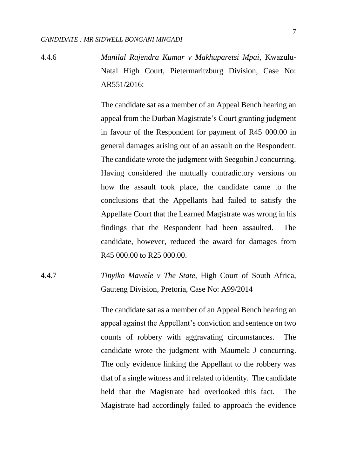4.4.6 *Manilal Rajendra Kumar v Makhuparetsi Mpai,* Kwazulu-Natal High Court, Pietermaritzburg Division, Case No:  $AR551/2016$ 

> The candidate sat as a member of an Appeal Bench hearing an appeal from the Durban Magistrate's Court granting judgment in favour of the Respondent for payment of R45 000.00 in general damages arising out of an assault on the Respondent. The candidate wrote the judgment with Seegobin J concurring. Having considered the mutually contradictory versions on how the assault took place, the candidate came to the conclusions that the Appellants had failed to satisfy the Appellate Court that the Learned Magistrate was wrong in his findings that the Respondent had been assaulted. The candidate, however, reduced the award for damages from R45 000.00 to R25 000.00.

4.4.7 *Tinyiko Mawele v The State,* High Court of South Africa, Gauteng Division, Pretoria, Case No: A99/2014

> The candidate sat as a member of an Appeal Bench hearing an appeal against the Appellant's conviction and sentence on two counts of robbery with aggravating circumstances. The candidate wrote the judgment with Maumela J concurring. The only evidence linking the Appellant to the robbery was that of a single witness and it related to identity. The candidate held that the Magistrate had overlooked this fact. The Magistrate had accordingly failed to approach the evidence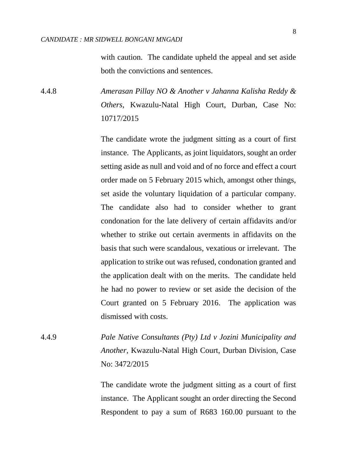8

with caution. The candidate upheld the appeal and set aside both the convictions and sentences.

4.4.8 *Amerasan Pillay NO & Another v Jahanna Kalisha Reddy & Others,* Kwazulu-Natal High Court, Durban, Case No: 10717/2015

> The candidate wrote the judgment sitting as a court of first instance. The Applicants, as joint liquidators, sought an order setting aside as null and void and of no force and effect a court order made on 5 February 2015 which, amongst other things, set aside the voluntary liquidation of a particular company. The candidate also had to consider whether to grant condonation for the late delivery of certain affidavits and/or whether to strike out certain averments in affidavits on the basis that such were scandalous, vexatious or irrelevant. The application to strike out was refused, condonation granted and the application dealt with on the merits. The candidate held he had no power to review or set aside the decision of the Court granted on 5 February 2016. The application was dismissed with costs.

4.4.9 *Pale Native Consultants (Pty) Ltd v Jozini Municipality and Another*, Kwazulu-Natal High Court, Durban Division, Case No: 3472/2015

> The candidate wrote the judgment sitting as a court of first instance. The Applicant sought an order directing the Second Respondent to pay a sum of R683 160.00 pursuant to the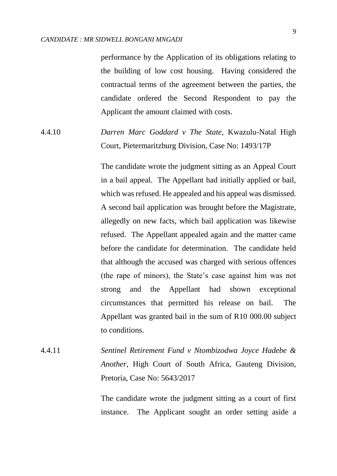performance by the Application of its obligations relating to the building of low cost housing. Having considered the contractual terms of the agreement between the parties, the candidate ordered the Second Respondent to pay the Applicant the amount claimed with costs.

4.4.10 *Darren Marc Goddard v The State*, Kwazulu-Natal High Court, Pietermaritzburg Division, Case No: 1493/17P

> The candidate wrote the judgment sitting as an Appeal Court in a bail appeal. The Appellant had initially applied or bail, which was refused. He appealed and his appeal was dismissed. A second bail application was brought before the Magistrate, allegedly on new facts, which bail application was likewise refused. The Appellant appealed again and the matter came before the candidate for determination. The candidate held that although the accused was charged with serious offences (the rape of minors), the State's case against him was not strong and the Appellant had shown exceptional circumstances that permitted his release on bail. The Appellant was granted bail in the sum of R10 000.00 subject to conditions.

4.4.11 *Sentinel Retirement Fund v Ntombizodwa Joyce Hadebe & Another*, High Court of South Africa, Gauteng Division, Pretoria, Case No: 5643/2017

> The candidate wrote the judgment sitting as a court of first instance. The Applicant sought an order setting aside a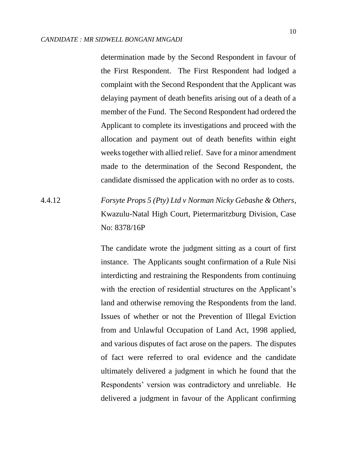determination made by the Second Respondent in favour of the First Respondent. The First Respondent had lodged a complaint with the Second Respondent that the Applicant was delaying payment of death benefits arising out of a death of a member of the Fund. The Second Respondent had ordered the Applicant to complete its investigations and proceed with the allocation and payment out of death benefits within eight weeks together with allied relief. Save for a minor amendment made to the determination of the Second Respondent, the candidate dismissed the application with no order as to costs.

4.4.12 *Forsyte Props 5 (Pty) Ltd v Norman Nicky Gebashe & Others*, Kwazulu-Natal High Court, Pietermaritzburg Division, Case No: 8378/16P

> The candidate wrote the judgment sitting as a court of first instance. The Applicants sought confirmation of a Rule Nisi interdicting and restraining the Respondents from continuing with the erection of residential structures on the Applicant's land and otherwise removing the Respondents from the land. Issues of whether or not the Prevention of Illegal Eviction from and Unlawful Occupation of Land Act, 1998 applied, and various disputes of fact arose on the papers. The disputes of fact were referred to oral evidence and the candidate ultimately delivered a judgment in which he found that the Respondents' version was contradictory and unreliable. He delivered a judgment in favour of the Applicant confirming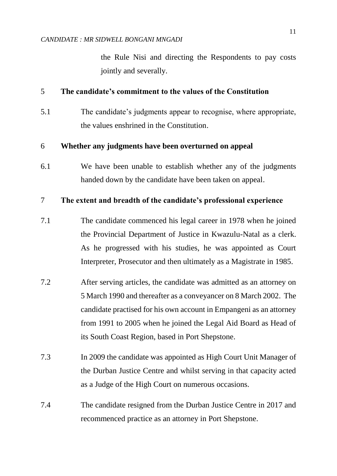the Rule Nisi and directing the Respondents to pay costs jointly and severally.

## 5 **The candidate's commitment to the values of the Constitution**

5.1 The candidate's judgments appear to recognise, where appropriate, the values enshrined in the Constitution.

## 6 **Whether any judgments have been overturned on appeal**

6.1 We have been unable to establish whether any of the judgments handed down by the candidate have been taken on appeal.

#### 7 **The extent and breadth of the candidate's professional experience**

- 7.1 The candidate commenced his legal career in 1978 when he joined the Provincial Department of Justice in Kwazulu-Natal as a clerk. As he progressed with his studies, he was appointed as Court Interpreter, Prosecutor and then ultimately as a Magistrate in 1985.
- 7.2 After serving articles, the candidate was admitted as an attorney on 5 March 1990 and thereafter as a conveyancer on 8 March 2002. The candidate practised for his own account in Empangeni as an attorney from 1991 to 2005 when he joined the Legal Aid Board as Head of its South Coast Region, based in Port Shepstone.
- 7.3 In 2009 the candidate was appointed as High Court Unit Manager of the Durban Justice Centre and whilst serving in that capacity acted as a Judge of the High Court on numerous occasions.
- 7.4 The candidate resigned from the Durban Justice Centre in 2017 and recommenced practice as an attorney in Port Shepstone.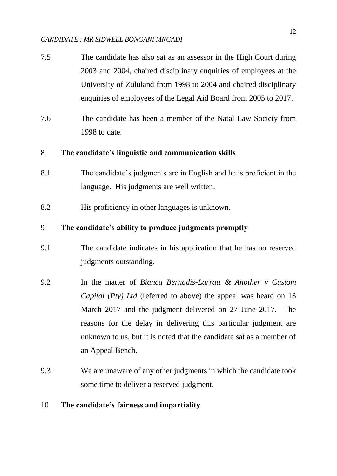- 7.5 The candidate has also sat as an assessor in the High Court during 2003 and 2004, chaired disciplinary enquiries of employees at the University of Zululand from 1998 to 2004 and chaired disciplinary enquiries of employees of the Legal Aid Board from 2005 to 2017.
- 7.6 The candidate has been a member of the Natal Law Society from 1998 to date.

## 8 **The candidate's linguistic and communication skills**

- 8.1 The candidate's judgments are in English and he is proficient in the language. His judgments are well written.
- 8.2 His proficiency in other languages is unknown.

## 9 **The candidate's ability to produce judgments promptly**

- 9.1 The candidate indicates in his application that he has no reserved judgments outstanding.
- 9.2 In the matter of *Bianca Bernadis-Larratt & Another v Custom Capital (Pty) Ltd* (referred to above) the appeal was heard on 13 March 2017 and the judgment delivered on 27 June 2017. The reasons for the delay in delivering this particular judgment are unknown to us, but it is noted that the candidate sat as a member of an Appeal Bench.
- 9.3 We are unaware of any other judgments in which the candidate took some time to deliver a reserved judgment.

#### 10 **The candidate's fairness and impartiality**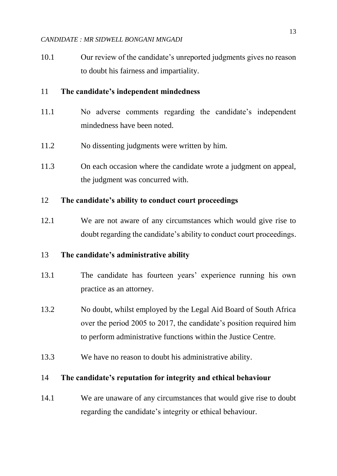10.1 Our review of the candidate's unreported judgments gives no reason to doubt his fairness and impartiality.

## 11 **The candidate's independent mindedness**

- 11.1 No adverse comments regarding the candidate's independent mindedness have been noted.
- 11.2 No dissenting judgments were written by him.
- 11.3 On each occasion where the candidate wrote a judgment on appeal, the judgment was concurred with.

### 12 **The candidate's ability to conduct court proceedings**

12.1 We are not aware of any circumstances which would give rise to doubt regarding the candidate's ability to conduct court proceedings.

### 13 **The candidate's administrative ability**

- 13.1 The candidate has fourteen years' experience running his own practice as an attorney.
- 13.2 No doubt, whilst employed by the Legal Aid Board of South Africa over the period 2005 to 2017, the candidate's position required him to perform administrative functions within the Justice Centre.
- 13.3 We have no reason to doubt his administrative ability.

### 14 **The candidate's reputation for integrity and ethical behaviour**

14.1 We are unaware of any circumstances that would give rise to doubt regarding the candidate's integrity or ethical behaviour.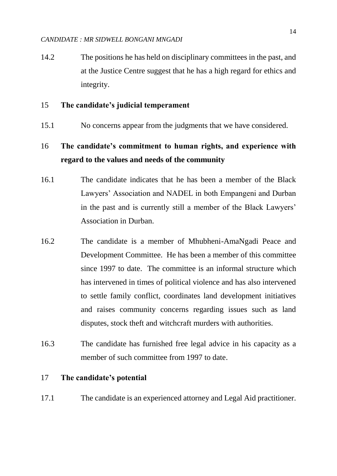14.2 The positions he has held on disciplinary committees in the past, and at the Justice Centre suggest that he has a high regard for ethics and integrity.

#### 15 **The candidate's judicial temperament**

15.1 No concerns appear from the judgments that we have considered.

# 16 **The candidate's commitment to human rights, and experience with regard to the values and needs of the community**

- 16.1 The candidate indicates that he has been a member of the Black Lawyers' Association and NADEL in both Empangeni and Durban in the past and is currently still a member of the Black Lawyers' Association in Durban.
- 16.2 The candidate is a member of Mhubheni-AmaNgadi Peace and Development Committee. He has been a member of this committee since 1997 to date. The committee is an informal structure which has intervened in times of political violence and has also intervened to settle family conflict, coordinates land development initiatives and raises community concerns regarding issues such as land disputes, stock theft and witchcraft murders with authorities.
- 16.3 The candidate has furnished free legal advice in his capacity as a member of such committee from 1997 to date.

## 17 **The candidate's potential**

17.1 The candidate is an experienced attorney and Legal Aid practitioner.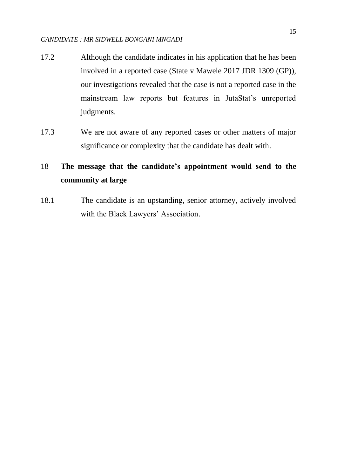- 17.2 Although the candidate indicates in his application that he has been involved in a reported case (State v Mawele 2017 JDR 1309 (GP)), our investigations revealed that the case is not a reported case in the mainstream law reports but features in JutaStat's unreported judgments.
- 17.3 We are not aware of any reported cases or other matters of major significance or complexity that the candidate has dealt with.

# 18 **The message that the candidate's appointment would send to the community at large**

18.1 The candidate is an upstanding, senior attorney, actively involved with the Black Lawyers' Association.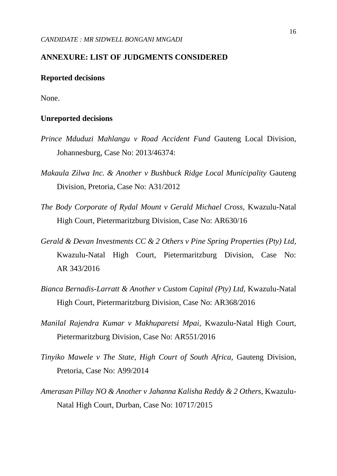#### **ANNEXURE: LIST OF JUDGMENTS CONSIDERED**

#### **Reported decisions**

None.

#### **Unreported decisions**

- *Prince Mduduzi Mahlangu v Road Accident Fund* Gauteng Local Division, Johannesburg, Case No: 2013/46374:
- *Makaula Zilwa Inc. & Another v Bushbuck Ridge Local Municipality* Gauteng Division, Pretoria, Case No: A31/2012
- *The Body Corporate of Rydal Mount v Gerald Michael Cross,* Kwazulu-Natal High Court, Pietermaritzburg Division, Case No: AR630/16
- *Gerald & Devan Investments CC & 2 Others v Pine Spring Properties (Pty) Ltd,*  Kwazulu-Natal High Court, Pietermaritzburg Division, Case No: AR 343/2016
- *Bianca Bernadis-Larratt & Another v Custom Capital (Pty) Ltd,* Kwazulu-Natal High Court, Pietermaritzburg Division, Case No: AR368/2016
- *Manilal Rajendra Kumar v Makhuparetsi Mpai,* Kwazulu-Natal High Court, Pietermaritzburg Division, Case No: AR551/2016
- *Tinyiko Mawele v The State, High Court of South Africa,* Gauteng Division, Pretoria, Case No: A99/2014
- *Amerasan Pillay NO & Another v Jahanna Kalisha Reddy & 2 Others,* Kwazulu-Natal High Court, Durban, Case No: 10717/2015